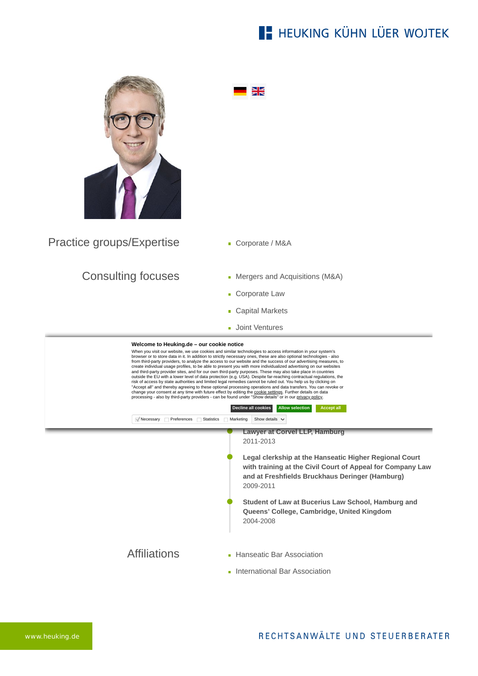## **E- HEUKING KÜHN LÜER WOJTEK**